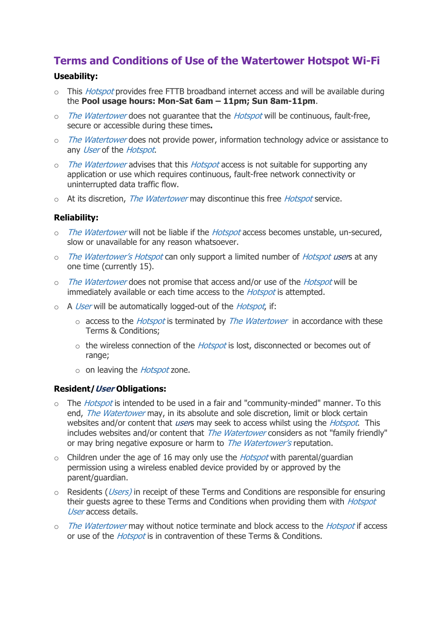# **Terms and Conditions of Use of the Watertower Hotspot Wi-Fi**

## **Useability:**

- $\circ$  This *Hotspot* provides free FTTB broadband internet access and will be available during the **Pool usage hours: Mon-Sat 6am – 11pm; Sun 8am-11pm**.
- o The Watertower does not quarantee that the Hotspot will be continuous, fault-free, secure or accessible during these times**.**
- o The Watertower does not provide power, information technology advice or assistance to any User of the Hotspot.
- $\circ$  The Watertower advises that this *Hotspot* access is not suitable for supporting any application or use which requires continuous, fault-free network connectivity or uninterrupted data traffic flow.
- o At its discretion, The Watertower may discontinue this free Hotspot service.

## **Reliability:**

- o The Watertower will not be liable if the Hotspot access becomes unstable, un-secured, slow or unavailable for any reason whatsoever.
- o The Watertower's Hotspot can only support a limited number of Hotspot users at any one time (currently 15).
- o The Watertower does not promise that access and/or use of the Hotspot will be immediately available or each time access to the *Hotspot* is attempted.
- $\circ$  A User will be automatically logged-out of the *Hotspot*, if:
	- $\circ$  access to the *Hotspot* is terminated by *The Watertower* in accordance with these Terms & Conditions;
	- $\circ$  the wireless connection of the *Hotspot* is lost, disconnected or becomes out of range;
	- $\circ$  on leaving the *Hotspot* zone.

### **Resident/User Obligations:**

- $\circ$  The *Hotspot* is intended to be used in a fair and "community-minded" manner. To this end, The Watertower may, in its absolute and sole discretion, limit or block certain websites and/or content that *user*s may seek to access whilst using the *Hotspot*. This includes websites and/or content that *The Watertower* considers as not "family friendly" or may bring negative exposure or harm to *The Watertower's* reputation.
- $\circ$  Children under the age of 16 may only use the *Hotspot* with parental/guardian permission using a wireless enabled device provided by or approved by the parent/guardian.
- $\circ$  Residents (*Users*) in receipt of these Terms and Conditions are responsible for ensuring their guests agree to these Terms and Conditions when providing them with *Hotspot* User access details.
- o The Watertower may without notice terminate and block access to the Hotspot if access or use of the *Hotspot* is in contravention of these Terms & Conditions.